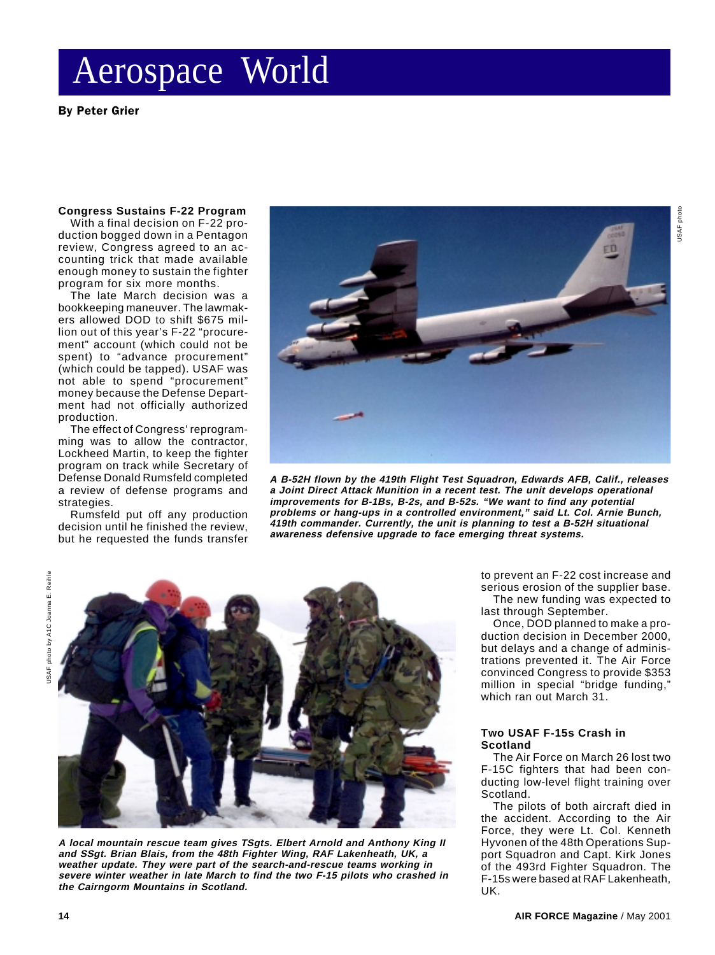By Peter Grier

#### **Congress Sustains F-22 Program**

With a final decision on F-22 production bogged down in a Pentagon review, Congress agreed to an accounting trick that made available enough money to sustain the fighter program for six more months.

The late March decision was a bookkeeping maneuver. The lawmakers allowed DOD to shift \$675 million out of this year's F-22 "procurement" account (which could not be spent) to "advance procurement" (which could be tapped). USAF was not able to spend "procurement" money because the Defense Department had not officially authorized production.

The effect of Congress' reprogramming was to allow the contractor, Lockheed Martin, to keep the fighter program on track while Secretary of Defense Donald Rumsfeld completed a review of defense programs and strategies.

Rumsfeld put off any production decision until he finished the review, but he requested the funds transfer



**A B-52H flown by the 419th Flight Test Squadron, Edwards AFB, Calif., releases a Joint Direct Attack Munition in a recent test. The unit develops operational improvements for B-1Bs, B-2s, and B-52s. "We want to find any potential problems or hang-ups in a controlled environment," said Lt. Col. Arnie Bunch, 419th commander. Currently, the unit is planning to test a B-52H situational awareness defensive upgrade to face emerging threat systems.**



**A local mountain rescue team gives TSgts. Elbert Arnold and Anthony King II and SSgt. Brian Blais, from the 48th Fighter Wing, RAF Lakenheath, UK, a weather update. They were part of the search-and-rescue teams working in severe winter weather in late March to find the two F-15 pilots who crashed in the Cairngorm Mountains in Scotland.**

to prevent an F-22 cost increase and serious erosion of the supplier base. The new funding was expected to

last through September. Once, DOD planned to make a production decision in December 2000, but delays and a change of administrations prevented it. The Air Force convinced Congress to provide \$353 million in special "bridge funding," which ran out March 31.

#### **Two USAF F-15s Crash in Scotland**

The Air Force on March 26 lost two F-15C fighters that had been conducting low-level flight training over Scotland.

The pilots of both aircraft died in the accident. According to the Air Force, they were Lt. Col. Kenneth Hyvonen of the 48th Operations Support Squadron and Capt. Kirk Jones of the 493rd Fighter Squadron. The F-15s were based at RAF Lakenheath, UK.

USAF photo

USAF photo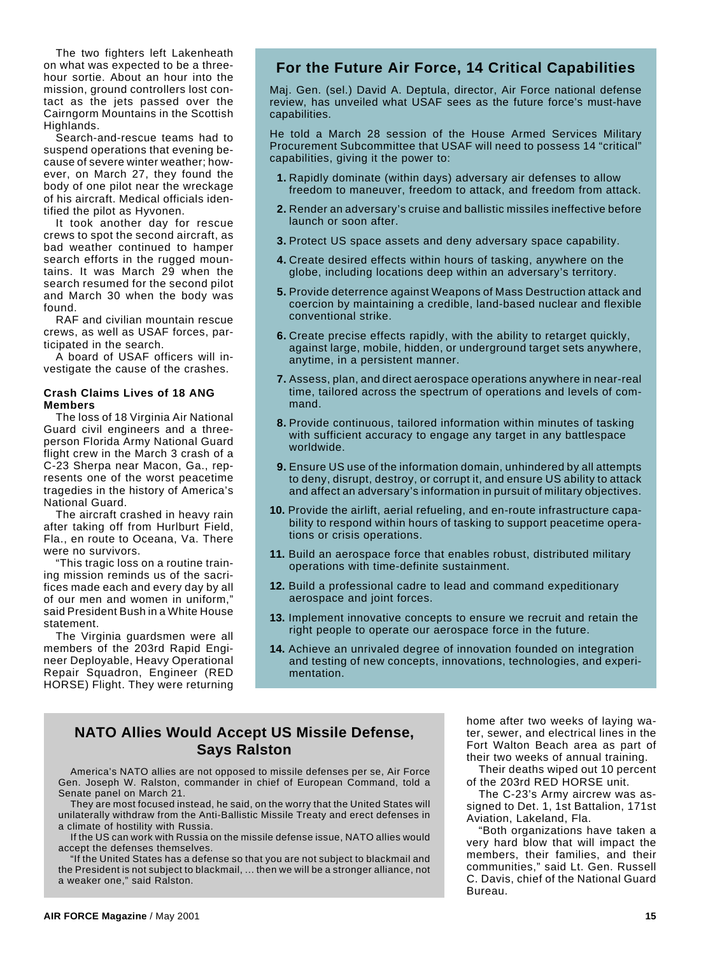The two fighters left Lakenheath on what was expected to be a threehour sortie. About an hour into the mission, ground controllers lost contact as the jets passed over the Cairngorm Mountains in the Scottish Highlands.

Search-and-rescue teams had to suspend operations that evening because of severe winter weather; however, on March 27, they found the body of one pilot near the wreckage of his aircraft. Medical officials identified the pilot as Hyvonen.

It took another day for rescue crews to spot the second aircraft, as bad weather continued to hamper search efforts in the rugged mountains. It was March 29 when the search resumed for the second pilot and March 30 when the body was found.

RAF and civilian mountain rescue crews, as well as USAF forces, participated in the search.

A board of USAF officers will investigate the cause of the crashes.

#### **Crash Claims Lives of 18 ANG Members**

The loss of 18 Virginia Air National Guard civil engineers and a threeperson Florida Army National Guard flight crew in the March 3 crash of a C-23 Sherpa near Macon, Ga., represents one of the worst peacetime tragedies in the history of America's National Guard.

The aircraft crashed in heavy rain after taking off from Hurlburt Field, Fla., en route to Oceana, Va. There were no survivors.

"This tragic loss on a routine training mission reminds us of the sacrifices made each and every day by all of our men and women in uniform," said President Bush in a White House statement.

The Virginia guardsmen were all members of the 203rd Rapid Engineer Deployable, Heavy Operational Repair Squadron, Engineer (RED HORSE) Flight. They were returning

## **For the Future Air Force, 14 Critical Capabilities**

Maj. Gen. (sel.) David A. Deptula, director, Air Force national defense review, has unveiled what USAF sees as the future force's must-have capabilities.

He told a March 28 session of the House Armed Services Military Procurement Subcommittee that USAF will need to possess 14 "critical" capabilities, giving it the power to:

- **1.** Rapidly dominate (within days) adversary air defenses to allow freedom to maneuver, freedom to attack, and freedom from attack.
- **2.** Render an adversary's cruise and ballistic missiles ineffective before launch or soon after.
- **3.** Protect US space assets and deny adversary space capability.
- **4.** Create desired effects within hours of tasking, anywhere on the globe, including locations deep within an adversary's territory.
- **5.** Provide deterrence against Weapons of Mass Destruction attack and coercion by maintaining a credible, land-based nuclear and flexible conventional strike.
- **6.** Create precise effects rapidly, with the ability to retarget quickly, against large, mobile, hidden, or underground target sets anywhere, anytime, in a persistent manner.
- **7.** Assess, plan, and direct aerospace operations anywhere in near-real time, tailored across the spectrum of operations and levels of command.
- **8.** Provide continuous, tailored information within minutes of tasking with sufficient accuracy to engage any target in any battlespace worldwide.
- **9.** Ensure US use of the information domain, unhindered by all attempts to deny, disrupt, destroy, or corrupt it, and ensure US ability to attack and affect an adversary's information in pursuit of military objectives.
- **10.** Provide the airlift, aerial refueling, and en-route infrastructure capability to respond within hours of tasking to support peacetime operations or crisis operations.
- **11.** Build an aerospace force that enables robust, distributed military operations with time-definite sustainment.
- **12.** Build a professional cadre to lead and command expeditionary aerospace and joint forces.
- **13.** Implement innovative concepts to ensure we recruit and retain the right people to operate our aerospace force in the future.
- **14.** Achieve an unrivaled degree of innovation founded on integration and testing of new concepts, innovations, technologies, and experimentation.

## **NATO Allies Would Accept US Missile Defense, Says Ralston**

America's NATO allies are not opposed to missile defenses per se, Air Force Gen. Joseph W. Ralston, commander in chief of European Command, told a Senate panel on March 21.

They are most focused instead, he said, on the worry that the United States will unilaterally withdraw from the Anti-Ballistic Missile Treaty and erect defenses in a climate of hostility with Russia.

If the US can work with Russia on the missile defense issue, NATO allies would accept the defenses themselves.

If the United States has a defense so that you are not subject to blackmail and the President is not subject to blackmail, ... then we will be a stronger alliance, not a weaker one," said Ralston.

home after two weeks of laying water, sewer, and electrical lines in the Fort Walton Beach area as part of their two weeks of annual training.

Their deaths wiped out 10 percent of the 203rd RED HORSE unit.

The C-23's Army aircrew was assigned to Det. 1, 1st Battalion, 171st Aviation, Lakeland, Fla.

"Both organizations have taken a very hard blow that will impact the members, their families, and their communities," said Lt. Gen. Russell C. Davis, chief of the National Guard Bureau.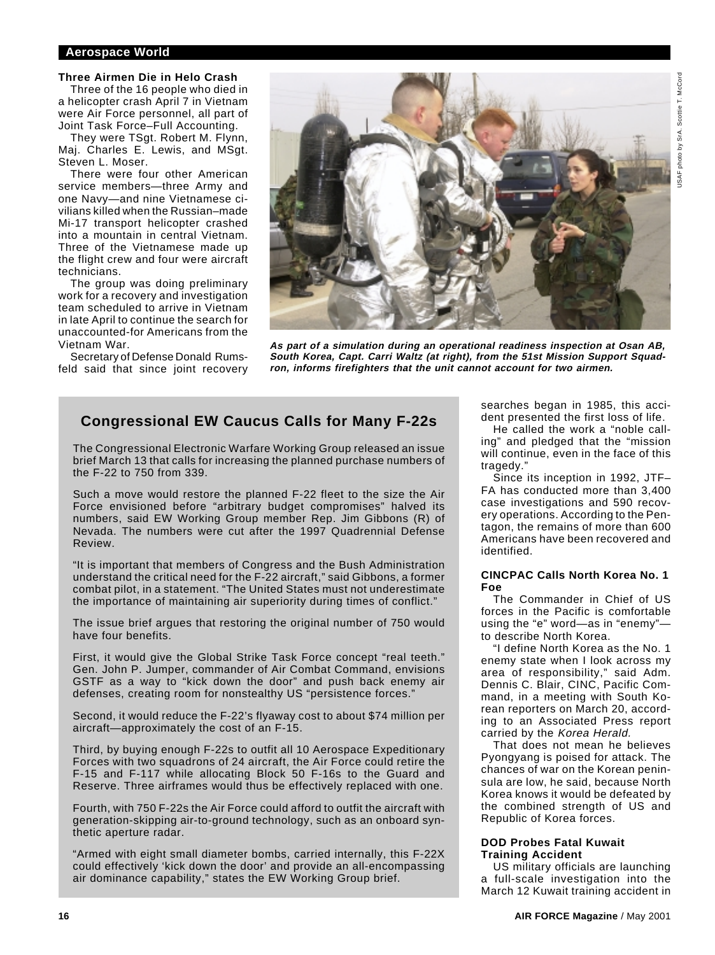## **Three Airmen Die in Helo Crash**

Three of the 16 people who died in a helicopter crash April 7 in Vietnam were Air Force personnel, all part of Joint Task Force–Full Accounting.

They were TSgt. Robert M. Flynn, Maj. Charles E. Lewis, and MSgt. Steven L. Moser.

There were four other American service members—three Army and one Navy—and nine Vietnamese civilians killed when the Russian–made Mi-17 transport helicopter crashed into a mountain in central Vietnam. Three of the Vietnamese made up the flight crew and four were aircraft technicians.

The group was doing preliminary work for a recovery and investigation team scheduled to arrive in Vietnam in late April to continue the search for unaccounted-for Americans from the Vietnam War.

Secretary of Defense Donald Rumsfeld said that since joint recovery



**As part of a simulation during an operational readiness inspection at Osan AB, South Korea, Capt. Carri Waltz (at right), from the 51st Mission Support Squadron, informs firefighters that the unit cannot account for two airmen.**

## **Congressional EW Caucus Calls for Many F-22s**

The Congressional Electronic Warfare Working Group released an issue brief March 13 that calls for increasing the planned purchase numbers of the F-22 to 750 from 339.

Such a move would restore the planned F-22 fleet to the size the Air Force envisioned before "arbitrary budget compromises" halved its numbers, said EW Working Group member Rep. Jim Gibbons (R) of Nevada. The numbers were cut after the 1997 Quadrennial Defense Review.

"It is important that members of Congress and the Bush Administration understand the critical need for the F-22 aircraft," said Gibbons, a former combat pilot, in a statement. "The United States must not underestimate the importance of maintaining air superiority during times of conflict."

The issue brief argues that restoring the original number of 750 would have four benefits.

First, it would give the Global Strike Task Force concept "real teeth." Gen. John P. Jumper, commander of Air Combat Command, envisions GSTF as a way to "kick down the door" and push back enemy air defenses, creating room for nonstealthy US "persistence forces."

Second, it would reduce the F-22's flyaway cost to about \$74 million per aircraft—approximately the cost of an F-15.

Third, by buying enough F-22s to outfit all 10 Aerospace Expeditionary Forces with two squadrons of 24 aircraft, the Air Force could retire the F-15 and F-117 while allocating Block 50 F-16s to the Guard and Reserve. Three airframes would thus be effectively replaced with one.

Fourth, with 750 F-22s the Air Force could afford to outfit the aircraft with generation-skipping air-to-ground technology, such as an onboard synthetic aperture radar.

"Armed with eight small diameter bombs, carried internally, this F-22X could effectively 'kick down the door' and provide an all-encompassing air dominance capability," states the EW Working Group brief.

searches began in 1985, this accident presented the first loss of life.

He called the work a "noble calling" and pledged that the "mission will continue, even in the face of this tragedy."

Since its inception in 1992, JTF– FA has conducted more than 3,400 case investigations and 590 recovery operations. According to the Pentagon, the remains of more than 600 Americans have been recovered and identified.

#### **CINCPAC Calls North Korea No. 1 Foe**

The Commander in Chief of US forces in the Pacific is comfortable using the "e" word—as in "enemy" to describe North Korea.

"I define North Korea as the No. 1 enemy state when I look across my area of responsibility," said Adm. Dennis C. Blair, CINC, Pacific Command, in a meeting with South Korean reporters on March 20, according to an Associated Press report carried by the Korea Herald.

That does not mean he believes Pyongyang is poised for attack. The chances of war on the Korean peninsula are low, he said, because North Korea knows it would be defeated by the combined strength of US and Republic of Korea forces.

#### **DOD Probes Fatal Kuwait Training Accident**

US military officials are launching a full-scale investigation into the March 12 Kuwait training accident in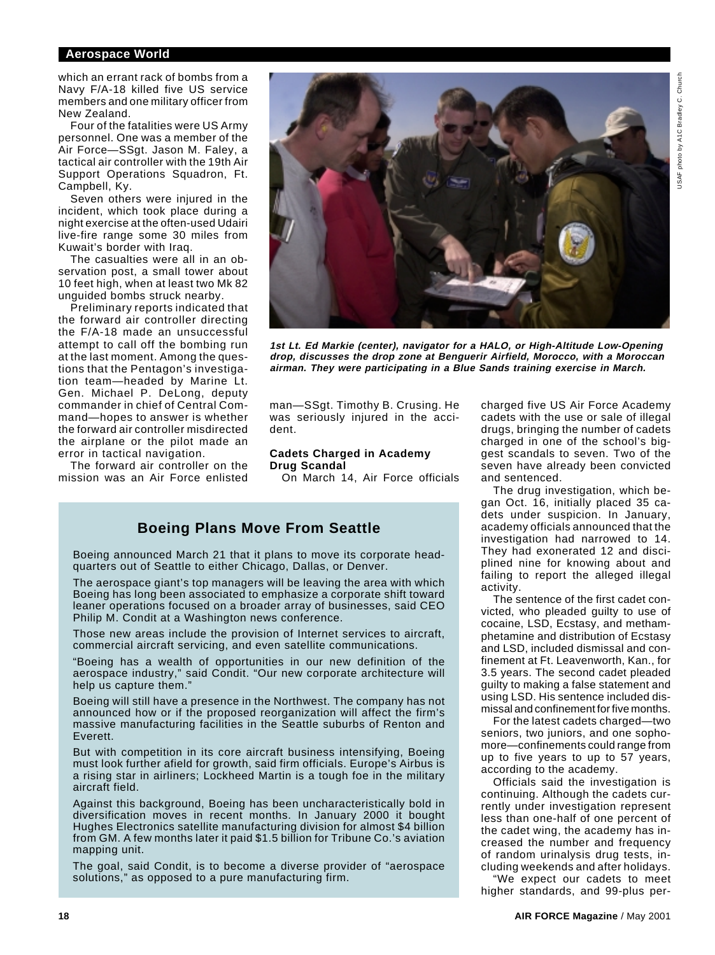which an errant rack of bombs from a Navy F/A-18 killed five US service members and one military officer from New Zealand.

Four of the fatalities were US Army personnel. One was a member of the Air Force—SSgt. Jason M. Faley, a tactical air controller with the 19th Air Support Operations Squadron, Ft. Campbell, Ky.

Seven others were injured in the incident, which took place during a night exercise at the often-used Udairi live-fire range some 30 miles from Kuwait's border with Iraq.

The casualties were all in an observation post, a small tower about 10 feet high, when at least two Mk 82 unguided bombs struck nearby.

Preliminary reports indicated that the forward air controller directing the F/A-18 made an unsuccessful attempt to call off the bombing run at the last moment. Among the questions that the Pentagon's investigation team—headed by Marine Lt. Gen. Michael P. DeLong, deputy commander in chief of Central Command—hopes to answer is whether the forward air controller misdirected the airplane or the pilot made an error in tactical navigation.

The forward air controller on the mission was an Air Force enlisted



**1st Lt. Ed Markie (center), navigator for a HALO, or High-Altitude Low-Opening drop, discusses the drop zone at Benguerir Airfield, Morocco, with a Moroccan airman. They were participating in a Blue Sands training exercise in March.**

man—SSgt. Timothy B. Crusing. He was seriously injured in the accident.

#### **Cadets Charged in Academy Drug Scandal**

On March 14, Air Force officials

## **Boeing Plans Move From Seattle**

Boeing announced March 21 that it plans to move its corporate headquarters out of Seattle to either Chicago, Dallas, or Denver.

The aerospace giant's top managers will be leaving the area with which Boeing has long been associated to emphasize a corporate shift toward leaner operations focused on a broader array of businesses, said CEO Philip M. Condit at a Washington news conference.

Those new areas include the provision of Internet services to aircraft, commercial aircraft servicing, and even satellite communications.

"Boeing has a wealth of opportunities in our new definition of the aerospace industry," said Condit. "Our new corporate architecture will help us capture them."

Boeing will still have a presence in the Northwest. The company has not announced how or if the proposed reorganization will affect the firm's massive manufacturing facilities in the Seattle suburbs of Renton and Everett.

But with competition in its core aircraft business intensifying, Boeing must look further afield for growth, said firm officials. Europe's Airbus is a rising star in airliners; Lockheed Martin is a tough foe in the military aircraft field.

Against this background, Boeing has been uncharacteristically bold in diversification moves in recent months. In January 2000 it bought Hughes Electronics satellite manufacturing division for almost \$4 billion from GM. A few months later it paid \$1.5 billion for Tribune Co.'s aviation mapping unit.

The goal, said Condit, is to become a diverse provider of "aerospace solutions," as opposed to a pure manufacturing firm.

charged five US Air Force Academy cadets with the use or sale of illegal drugs, bringing the number of cadets charged in one of the school's biggest scandals to seven. Two of the seven have already been convicted and sentenced.

The drug investigation, which began Oct. 16, initially placed 35 cadets under suspicion. In January, academy officials announced that the investigation had narrowed to 14. They had exonerated 12 and disciplined nine for knowing about and failing to report the alleged illegal activity.

The sentence of the first cadet convicted, who pleaded guilty to use of cocaine, LSD, Ecstasy, and methamphetamine and distribution of Ecstasy and LSD, included dismissal and confinement at Ft. Leavenworth, Kan., for 3.5 years. The second cadet pleaded guilty to making a false statement and using LSD. His sentence included dismissal and confinement for five months.

For the latest cadets charged—two seniors, two juniors, and one sophomore—confinements could range from up to five years to up to 57 years, according to the academy.

Officials said the investigation is continuing. Although the cadets currently under investigation represent less than one-half of one percent of the cadet wing, the academy has increased the number and frequency of random urinalysis drug tests, including weekends and after holidays.

"We expect our cadets to meet higher standards, and 99-plus per-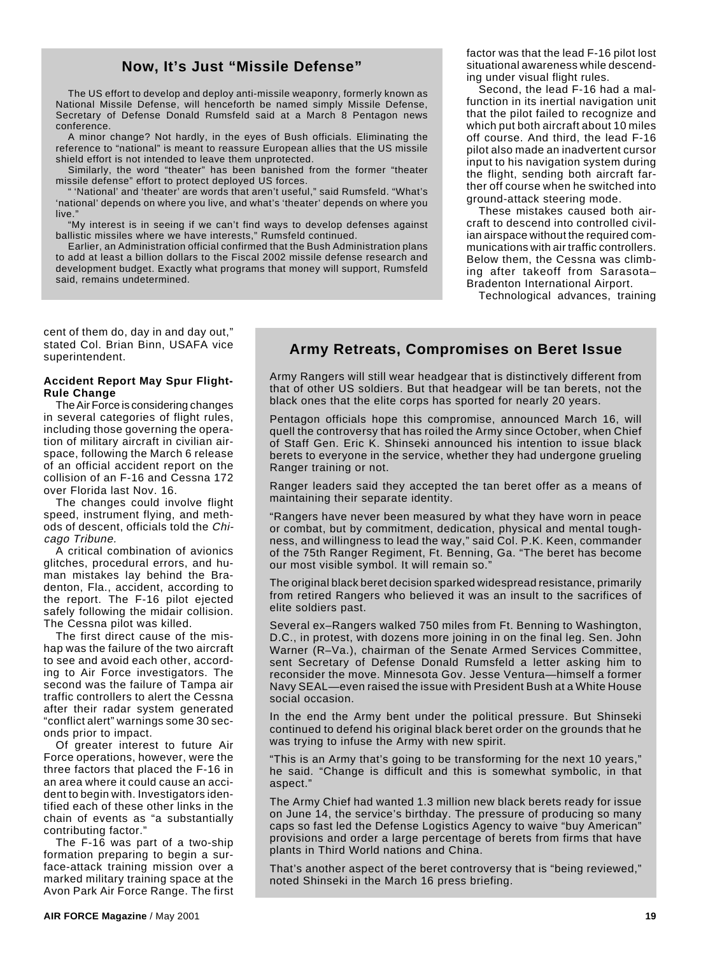## **Now, It's Just "Missile Defense"**

The US effort to develop and deploy anti-missile weaponry, formerly known as National Missile Defense, will henceforth be named simply Missile Defense, Secretary of Defense Donald Rumsfeld said at a March 8 Pentagon news conference.

A minor change? Not hardly, in the eyes of Bush officials. Eliminating the reference to "national" is meant to reassure European allies that the US missile shield effort is not intended to leave them unprotected.

Similarly, the word "theater" has been banished from the former "theater missile defense" effort to protect deployed US forces.

'National' and 'theater' are words that aren't useful," said Rumsfeld. "What's 'national' depends on where you live, and what's 'theater' depends on where you live.

"My interest is in seeing if we can't find ways to develop defenses against ballistic missiles where we have interests," Rumsfeld continued.

Earlier, an Administration official confirmed that the Bush Administration plans to add at least a billion dollars to the Fiscal 2002 missile defense research and development budget. Exactly what programs that money will support, Rumsfeld said, remains undetermined.

factor was that the lead F-16 pilot lost situational awareness while descending under visual flight rules.

Second, the lead F-16 had a malfunction in its inertial navigation unit that the pilot failed to recognize and which put both aircraft about 10 miles off course. And third, the lead F-16 pilot also made an inadvertent cursor input to his navigation system during the flight, sending both aircraft farther off course when he switched into ground-attack steering mode.

These mistakes caused both aircraft to descend into controlled civilian airspace without the required communications with air traffic controllers. Below them, the Cessna was climbing after takeoff from Sarasota– Bradenton International Airport.

Technological advances, training

cent of them do, day in and day out," stated Col. Brian Binn, USAFA vice superintendent.

#### **Accident Report May Spur Flight-Rule Change**

The Air Force is considering changes in several categories of flight rules, including those governing the operation of military aircraft in civilian airspace, following the March 6 release of an official accident report on the collision of an F-16 and Cessna 172 over Florida last Nov. 16.

The changes could involve flight speed, instrument flying, and methods of descent, officials told the Chicago Tribune.

A critical combination of avionics glitches, procedural errors, and human mistakes lay behind the Bradenton, Fla., accident, according to the report. The F-16 pilot ejected safely following the midair collision. The Cessna pilot was killed.

The first direct cause of the mishap was the failure of the two aircraft to see and avoid each other, according to Air Force investigators. The second was the failure of Tampa air traffic controllers to alert the Cessna after their radar system generated "conflict alert" warnings some 30 seconds prior to impact.

Of greater interest to future Air Force operations, however, were the three factors that placed the F-16 in an area where it could cause an accident to begin with. Investigators identified each of these other links in the chain of events as "a substantially contributing factor."

The F-16 was part of a two-ship formation preparing to begin a surface-attack training mission over a marked military training space at the Avon Park Air Force Range. The first

## **Army Retreats, Compromises on Beret Issue**

Army Rangers will still wear headgear that is distinctively different from that of other US soldiers. But that headgear will be tan berets, not the black ones that the elite corps has sported for nearly 20 years.

Pentagon officials hope this compromise, announced March 16, will quell the controversy that has roiled the Army since October, when Chief of Staff Gen. Eric K. Shinseki announced his intention to issue black berets to everyone in the service, whether they had undergone grueling Ranger training or not.

Ranger leaders said they accepted the tan beret offer as a means of maintaining their separate identity.

"Rangers have never been measured by what they have worn in peace or combat, but by commitment, dedication, physical and mental toughness, and willingness to lead the way," said Col. P.K. Keen, commander of the 75th Ranger Regiment, Ft. Benning, Ga. "The beret has become our most visible symbol. It will remain so.

The original black beret decision sparked widespread resistance, primarily from retired Rangers who believed it was an insult to the sacrifices of elite soldiers past.

Several ex–Rangers walked 750 miles from Ft. Benning to Washington, D.C., in protest, with dozens more joining in on the final leg. Sen. John Warner (R–Va.), chairman of the Senate Armed Services Committee, sent Secretary of Defense Donald Rumsfeld a letter asking him to reconsider the move. Minnesota Gov. Jesse Ventura—himself a former Navy SEAL—even raised the issue with President Bush at a White House social occasion.

In the end the Army bent under the political pressure. But Shinseki continued to defend his original black beret order on the grounds that he was trying to infuse the Army with new spirit.

"This is an Army that's going to be transforming for the next 10 years," he said. "Change is difficult and this is somewhat symbolic, in that aspect."

The Army Chief had wanted 1.3 million new black berets ready for issue on June 14, the service's birthday. The pressure of producing so many caps so fast led the Defense Logistics Agency to waive "buy American" provisions and order a large percentage of berets from firms that have plants in Third World nations and China.

That's another aspect of the beret controversy that is "being reviewed," noted Shinseki in the March 16 press briefing.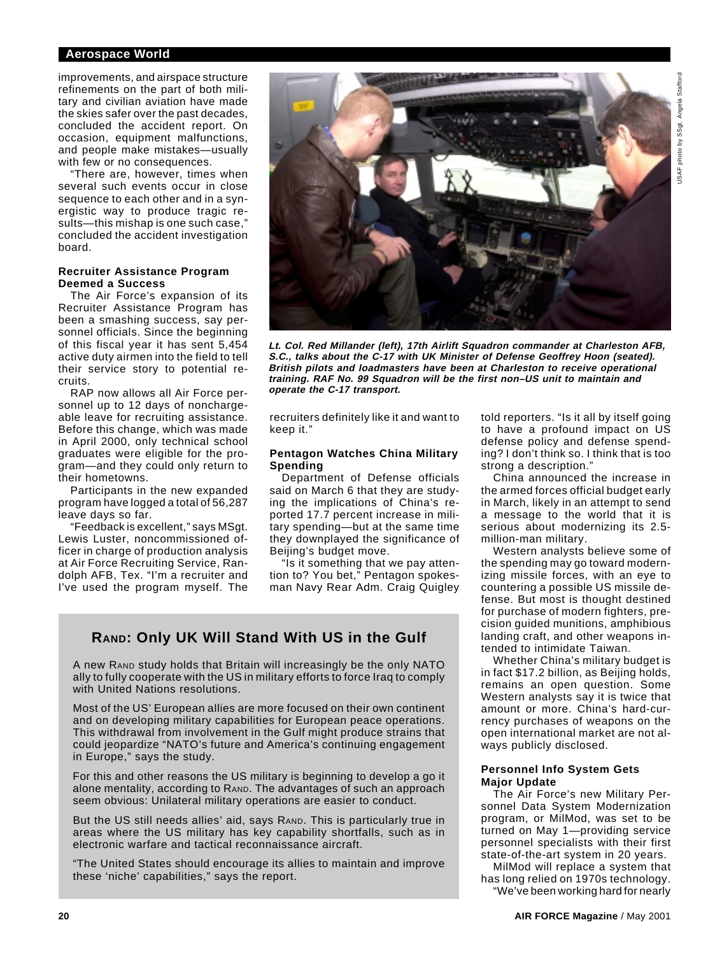improvements, and airspace structure refinements on the part of both military and civilian aviation have made the skies safer over the past decades, concluded the accident report. On occasion, equipment malfunctions, and people make mistakes—usually with few or no consequences.

"There are, however, times when several such events occur in close sequence to each other and in a synergistic way to produce tragic results—this mishap is one such case," concluded the accident investigation board.

## **Recruiter Assistance Program Deemed a Success**

The Air Force's expansion of its Recruiter Assistance Program has been a smashing success, say personnel officials. Since the beginning of this fiscal year it has sent 5,454 active duty airmen into the field to tell their service story to potential recruits.

RAP now allows all Air Force personnel up to 12 days of nonchargeable leave for recruiting assistance. Before this change, which was made in April 2000, only technical school graduates were eligible for the program—and they could only return to their hometowns.

Participants in the new expanded program have logged a total of 56,287 leave days so far.

"Feedback is excellent," says MSgt. Lewis Luster, noncommissioned officer in charge of production analysis at Air Force Recruiting Service, Randolph AFB, Tex. "I'm a recruiter and I've used the program myself. The



**Lt. Col. Red Millander (left), 17th Airlift Squadron commander at Charleston AFB, S.C., talks about the C-17 with UK Minister of Defense Geoffrey Hoon (seated). British pilots and loadmasters have been at Charleston to receive operational training. RAF No. 99 Squadron will be the first non–US unit to maintain and operate the C-17 transport.**

recruiters definitely like it and want to keep it."

## **Pentagon Watches China Military Spending**

Department of Defense officials said on March 6 that they are studying the implications of China's reported 17.7 percent increase in military spending—but at the same time they downplayed the significance of Beijing's budget move.

"Is it something that we pay attention to? You bet," Pentagon spokesman Navy Rear Adm. Craig Quigley

## **RAND: Only UK Will Stand With US in the Gulf**

A new RAND study holds that Britain will increasingly be the only NATO ally to fully cooperate with the US in military efforts to force Iraq to comply with United Nations resolutions.

Most of the US' European allies are more focused on their own continent and on developing military capabilities for European peace operations. This withdrawal from involvement in the Gulf might produce strains that could jeopardize "NATO's future and America's continuing engagement in Europe," says the study.

For this and other reasons the US military is beginning to develop a go it alone mentality, according to RAND. The advantages of such an approach seem obvious: Unilateral military operations are easier to conduct.

But the US still needs allies' aid, says RAND. This is particularly true in areas where the US military has key capability shortfalls, such as in electronic warfare and tactical reconnaissance aircraft.

"The United States should encourage its allies to maintain and improve these 'niche' capabilities," says the report.

told reporters. "Is it all by itself going to have a profound impact on US defense policy and defense spending? I don't think so. I think that is too strong a description."

China announced the increase in the armed forces official budget early in March, likely in an attempt to send a message to the world that it is serious about modernizing its 2.5 million-man military.

Western analysts believe some of the spending may go toward modernizing missile forces, with an eye to countering a possible US missile defense. But most is thought destined for purchase of modern fighters, precision guided munitions, amphibious landing craft, and other weapons intended to intimidate Taiwan.

Whether China's military budget is in fact \$17.2 billion, as Beijing holds, remains an open question. Some Western analysts say it is twice that amount or more. China's hard-currency purchases of weapons on the open international market are not always publicly disclosed.

## **Personnel Info System Gets Major Update**

The Air Force's new Military Personnel Data System Modernization program, or MilMod, was set to be turned on May 1—providing service personnel specialists with their first state-of-the-art system in 20 years.

MilMod will replace a system that has long relied on 1970s technology. "We've been working hard for nearly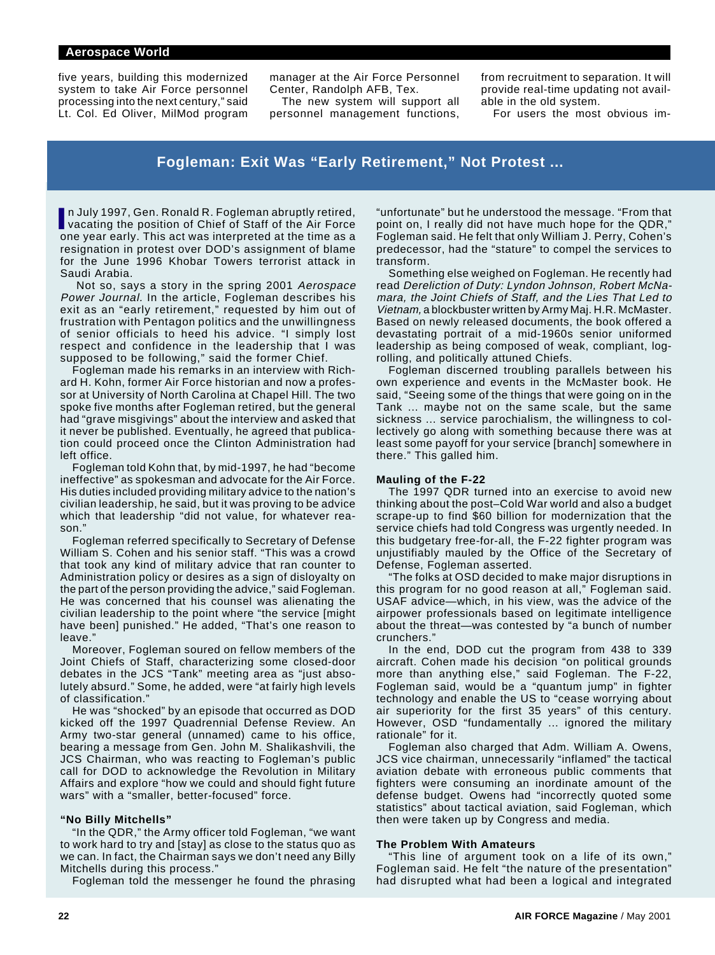five years, building this modernized system to take Air Force personnel processing into the next century," said Lt. Col. Ed Oliver, MilMod program

manager at the Air Force Personnel Center, Randolph AFB, Tex.

The new system will support all personnel management functions,

from recruitment to separation. It will provide real-time updating not available in the old system.

For users the most obvious im-

## **Fogleman: Exit Was "Early Retirement," Not Protest ...**

In July 1997, Gen. Ronald R. Fogleman abruptly retired,<br>vacating the position of Chief of Staff of the Air Force n July 1997, Gen. Ronald R. Fogleman abruptly retired, one year early. This act was interpreted at the time as a resignation in protest over DOD's assignment of blame for the June 1996 Khobar Towers terrorist attack in Saudi Arabia.

 Not so, says a story in the spring 2001 Aerospace Power Journal. In the article, Fogleman describes his exit as an "early retirement," requested by him out of frustration with Pentagon politics and the unwillingness of senior officials to heed his advice. "I simply lost respect and confidence in the leadership that I was supposed to be following," said the former Chief.

Fogleman made his remarks in an interview with Richard H. Kohn, former Air Force historian and now a professor at University of North Carolina at Chapel Hill. The two spoke five months after Fogleman retired, but the general had "grave misgivings" about the interview and asked that it never be published. Eventually, he agreed that publication could proceed once the Clinton Administration had left office.

Fogleman told Kohn that, by mid-1997, he had "become ineffective" as spokesman and advocate for the Air Force. His duties included providing military advice to the nation's civilian leadership, he said, but it was proving to be advice which that leadership "did not value, for whatever reason."

Fogleman referred specifically to Secretary of Defense William S. Cohen and his senior staff. "This was a crowd that took any kind of military advice that ran counter to Administration policy or desires as a sign of disloyalty on the part of the person providing the advice," said Fogleman. He was concerned that his counsel was alienating the civilian leadership to the point where "the service [might have been] punished." He added, "That's one reason to leave."

Moreover, Fogleman soured on fellow members of the Joint Chiefs of Staff, characterizing some closed-door debates in the JCS "Tank" meeting area as "just absolutely absurd." Some, he added, were "at fairly high levels of classification."

He was "shocked" by an episode that occurred as DOD kicked off the 1997 Quadrennial Defense Review. An Army two-star general (unnamed) came to his office, bearing a message from Gen. John M. Shalikashvili, the JCS Chairman, who was reacting to Fogleman's public call for DOD to acknowledge the Revolution in Military Affairs and explore "how we could and should fight future wars" with a "smaller, better-focused" force.

#### **"No Billy Mitchells"**

"In the QDR," the Army officer told Fogleman, "we want to work hard to try and [stay] as close to the status quo as we can. In fact, the Chairman says we don't need any Billy Mitchells during this process."

Fogleman told the messenger he found the phrasing

"unfortunate" but he understood the message. "From that point on, I really did not have much hope for the QDR," Fogleman said. He felt that only William J. Perry, Cohen's predecessor, had the "stature" to compel the services to transform.

Something else weighed on Fogleman. He recently had read Dereliction of Duty: Lyndon Johnson, Robert McNamara, the Joint Chiefs of Staff, and the Lies That Led to Vietnam, a blockbuster written by Army Maj. H.R. McMaster. Based on newly released documents, the book offered a devastating portrait of a mid-1960s senior uniformed leadership as being composed of weak, compliant, logrolling, and politically attuned Chiefs.

Fogleman discerned troubling parallels between his own experience and events in the McMaster book. He said, "Seeing some of the things that were going on in the Tank ... maybe not on the same scale, but the same sickness ... service parochialism, the willingness to collectively go along with something because there was at least some payoff for your service [branch] somewhere in there." This galled him.

#### **Mauling of the F-22**

The 1997 QDR turned into an exercise to avoid new thinking about the post–Cold War world and also a budget scrape-up to find \$60 billion for modernization that the service chiefs had told Congress was urgently needed. In this budgetary free-for-all, the F-22 fighter program was unjustifiably mauled by the Office of the Secretary of Defense, Fogleman asserted.

"The folks at OSD decided to make major disruptions in this program for no good reason at all," Fogleman said. USAF advice—which, in his view, was the advice of the airpower professionals based on legitimate intelligence about the threat—was contested by "a bunch of number crunchers."

In the end, DOD cut the program from 438 to 339 aircraft. Cohen made his decision "on political grounds more than anything else," said Fogleman. The F-22, Fogleman said, would be a "quantum jump" in fighter technology and enable the US to "cease worrying about air superiority for the first 35 years" of this century. However, OSD "fundamentally ... ignored the military rationale" for it.

Fogleman also charged that Adm. William A. Owens, JCS vice chairman, unnecessarily "inflamed" the tactical aviation debate with erroneous public comments that fighters were consuming an inordinate amount of the defense budget. Owens had "incorrectly quoted some statistics" about tactical aviation, said Fogleman, which then were taken up by Congress and media.

#### **The Problem With Amateurs**

"This line of argument took on a life of its own," Fogleman said. He felt "the nature of the presentation" had disrupted what had been a logical and integrated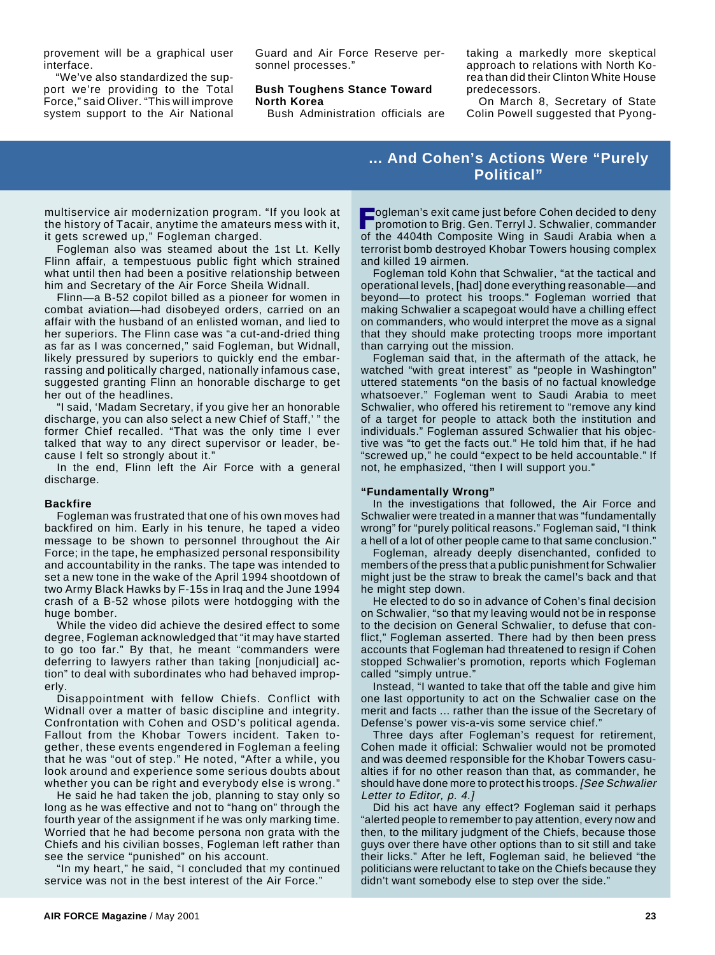provement will be a graphical user interface.

"We've also standardized the support we're providing to the Total Force," said Oliver. "This will improve system support to the Air National

Guard and Air Force Reserve personnel processes."

#### **Bush Toughens Stance Toward North Korea**

Bush Administration officials are

taking a markedly more skeptical approach to relations with North Korea than did their Clinton White House predecessors.

On March 8, Secretary of State Colin Powell suggested that Pyong-

## **... And Cohen's Actions Were "Purely Political"**

multiservice air modernization program. "If you look at the history of Tacair, anytime the amateurs mess with it, it gets screwed up," Fogleman charged.

Fogleman also was steamed about the 1st Lt. Kelly Flinn affair, a tempestuous public fight which strained what until then had been a positive relationship between him and Secretary of the Air Force Sheila Widnall.

Flinn—a B-52 copilot billed as a pioneer for women in combat aviation—had disobeyed orders, carried on an affair with the husband of an enlisted woman, and lied to her superiors. The Flinn case was "a cut-and-dried thing as far as I was concerned," said Fogleman, but Widnall, likely pressured by superiors to quickly end the embarrassing and politically charged, nationally infamous case, suggested granting Flinn an honorable discharge to get her out of the headlines.

"I said, 'Madam Secretary, if you give her an honorable discharge, you can also select a new Chief of Staff,' " the former Chief recalled. "That was the only time I ever talked that way to any direct supervisor or leader, because I felt so strongly about it."

In the end, Flinn left the Air Force with a general discharge.

#### **Backfire**

Fogleman was frustrated that one of his own moves had backfired on him. Early in his tenure, he taped a video message to be shown to personnel throughout the Air Force; in the tape, he emphasized personal responsibility and accountability in the ranks. The tape was intended to set a new tone in the wake of the April 1994 shootdown of two Army Black Hawks by F-15s in Iraq and the June 1994 crash of a B-52 whose pilots were hotdogging with the huge bomber.

While the video did achieve the desired effect to some degree, Fogleman acknowledged that "it may have started to go too far." By that, he meant "commanders were deferring to lawyers rather than taking [nonjudicial] action" to deal with subordinates who had behaved improperly.

Disappointment with fellow Chiefs. Conflict with Widnall over a matter of basic discipline and integrity. Confrontation with Cohen and OSD's political agenda. Fallout from the Khobar Towers incident. Taken together, these events engendered in Fogleman a feeling that he was "out of step." He noted, "After a while, you look around and experience some serious doubts about whether you can be right and everybody else is wrong."

He said he had taken the job, planning to stay only so long as he was effective and not to "hang on" through the fourth year of the assignment if he was only marking time. Worried that he had become persona non grata with the Chiefs and his civilian bosses, Fogleman left rather than see the service "punished" on his account.

"In my heart," he said, "I concluded that my continued service was not in the best interest of the Air Force."

**Fogleman's exit came just before Cohen decided to deny**<br>
promotion to Brig. Gen. Terryl J. Schwalier, commander promotion to Brig. Gen. Terryl J. Schwalier, commander of the 4404th Composite Wing in Saudi Arabia when a terrorist bomb destroyed Khobar Towers housing complex and killed 19 airmen.

Fogleman told Kohn that Schwalier, "at the tactical and operational levels, [had] done everything reasonable—and beyond—to protect his troops." Fogleman worried that making Schwalier a scapegoat would have a chilling effect on commanders, who would interpret the move as a signal that they should make protecting troops more important than carrying out the mission.

Fogleman said that, in the aftermath of the attack, he watched "with great interest" as "people in Washington" uttered statements "on the basis of no factual knowledge whatsoever." Fogleman went to Saudi Arabia to meet Schwalier, who offered his retirement to "remove any kind of a target for people to attack both the institution and individuals." Fogleman assured Schwalier that his objective was "to get the facts out." He told him that, if he had "screwed up," he could "expect to be held accountable." If not, he emphasized, "then I will support you."

#### **"Fundamentally Wrong"**

In the investigations that followed, the Air Force and Schwalier were treated in a manner that was "fundamentally wrong" for "purely political reasons." Fogleman said, "I think a hell of a lot of other people came to that same conclusion."

Fogleman, already deeply disenchanted, confided to members of the press that a public punishment for Schwalier might just be the straw to break the camel's back and that he might step down.

He elected to do so in advance of Cohen's final decision on Schwalier, "so that my leaving would not be in response to the decision on General Schwalier, to defuse that conflict," Fogleman asserted. There had by then been press accounts that Fogleman had threatened to resign if Cohen stopped Schwalier's promotion, reports which Fogleman called "simply untrue."

Instead, "I wanted to take that off the table and give him one last opportunity to act on the Schwalier case on the merit and facts ... rather than the issue of the Secretary of Defense's power vis-a-vis some service chief."

Three days after Fogleman's request for retirement, Cohen made it official: Schwalier would not be promoted and was deemed responsible for the Khobar Towers casualties if for no other reason than that, as commander, he should have done more to protect his troops. [See Schwalier Letter to Editor, p. 4.]

Did his act have any effect? Fogleman said it perhaps "alerted people to remember to pay attention, every now and then, to the military judgment of the Chiefs, because those guys over there have other options than to sit still and take their licks." After he left, Fogleman said, he believed "the politicians were reluctant to take on the Chiefs because they didn't want somebody else to step over the side."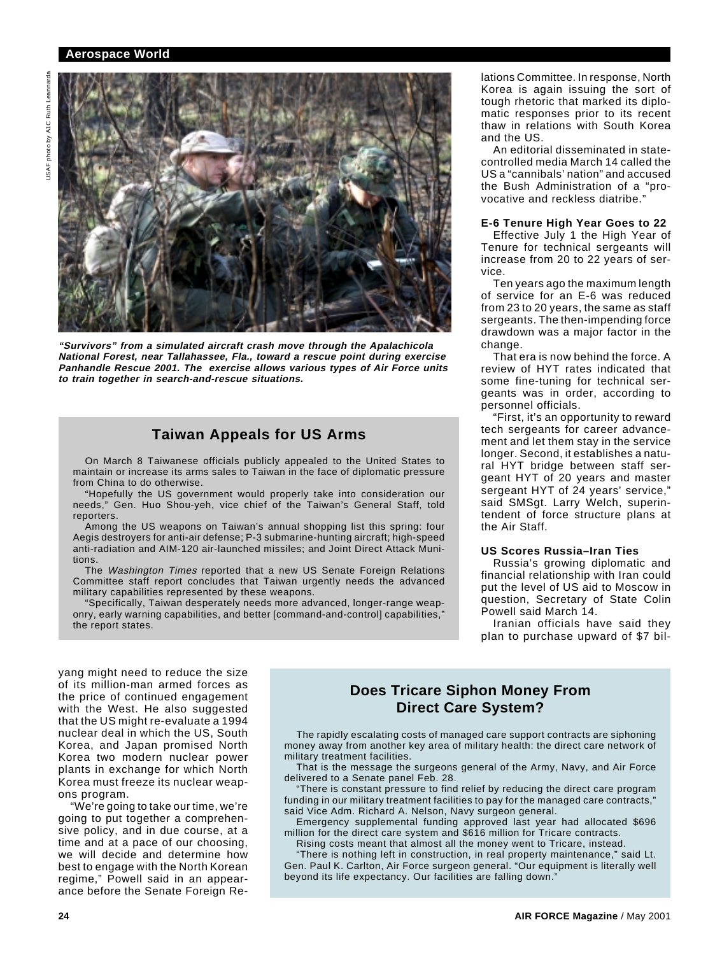

**"Survivors" from a simulated aircraft crash move through the Apalachicola National Forest, near Tallahassee, Fla., toward a rescue point during exercise Panhandle Rescue 2001. The exercise allows various types of Air Force units to train together in search-and-rescue situations.**

## **Taiwan Appeals for US Arms**

On March 8 Taiwanese officials publicly appealed to the United States to maintain or increase its arms sales to Taiwan in the face of diplomatic pressure from China to do otherwise.

"Hopefully the US government would properly take into consideration our needs," Gen. Huo Shou-yeh, vice chief of the Taiwan's General Staff, told reporters.

Among the US weapons on Taiwan's annual shopping list this spring: four Aegis destroyers for anti-air defense; P-3 submarine-hunting aircraft; high-speed anti-radiation and AIM-120 air-launched missiles; and Joint Direct Attack Munitions.

The Washington Times reported that a new US Senate Foreign Relations Committee staff report concludes that Taiwan urgently needs the advanced military capabilities represented by these weapons.

"Specifically, Taiwan desperately needs more advanced, longer-range weaponry, early warning capabilities, and better [command-and-control] capabilities," the report states.

lations Committee. In response, North Korea is again issuing the sort of tough rhetoric that marked its diplomatic responses prior to its recent thaw in relations with South Korea and the US.

An editorial disseminated in statecontrolled media March 14 called the US a "cannibals' nation" and accused the Bush Administration of a "provocative and reckless diatribe."

## **E-6 Tenure High Year Goes to 22**

Effective July 1 the High Year of Tenure for technical sergeants will increase from 20 to 22 years of service.

Ten years ago the maximum length of service for an E-6 was reduced from 23 to 20 years, the same as staff sergeants. The then-impending force drawdown was a major factor in the change.

That era is now behind the force. A review of HYT rates indicated that some fine-tuning for technical sergeants was in order, according to personnel officials.

"First, it's an opportunity to reward tech sergeants for career advancement and let them stay in the service longer. Second, it establishes a natural HYT bridge between staff sergeant HYT of 20 years and master sergeant HYT of 24 years' service," said SMSgt. Larry Welch, superintendent of force structure plans at the Air Staff.

#### **US Scores Russia–Iran Ties**

Russia's growing diplomatic and financial relationship with Iran could put the level of US aid to Moscow in question, Secretary of State Colin Powell said March 14.

Iranian officials have said they plan to purchase upward of \$7 bil-

yang might need to reduce the size of its million-man armed forces as the price of continued engagement with the West. He also suggested that the US might re-evaluate a 1994 nuclear deal in which the US, South Korea, and Japan promised North Korea two modern nuclear power plants in exchange for which North Korea must freeze its nuclear weapons program.

"We're going to take our time, we're going to put together a comprehensive policy, and in due course, at a time and at a pace of our choosing, we will decide and determine how best to engage with the North Korean regime," Powell said in an appearance before the Senate Foreign Re-

## **Does Tricare Siphon Money From Direct Care System?**

The rapidly escalating costs of managed care support contracts are siphoning money away from another key area of military health: the direct care network of military treatment facilities.

That is the message the surgeons general of the Army, Navy, and Air Force delivered to a Senate panel Feb. 28.

"There is constant pressure to find relief by reducing the direct care program funding in our military treatment facilities to pay for the managed care contracts," said Vice Adm. Richard A. Nelson, Navy surgeon general.

Emergency supplemental funding approved last year had allocated \$696 million for the direct care system and \$616 million for Tricare contracts.

Rising costs meant that almost all the money went to Tricare, instead.

"There is nothing left in construction, in real property maintenance," said Lt. Gen. Paul K. Carlton, Air Force surgeon general. "Our equipment is literally well beyond its life expectancy. Our facilities are falling down.'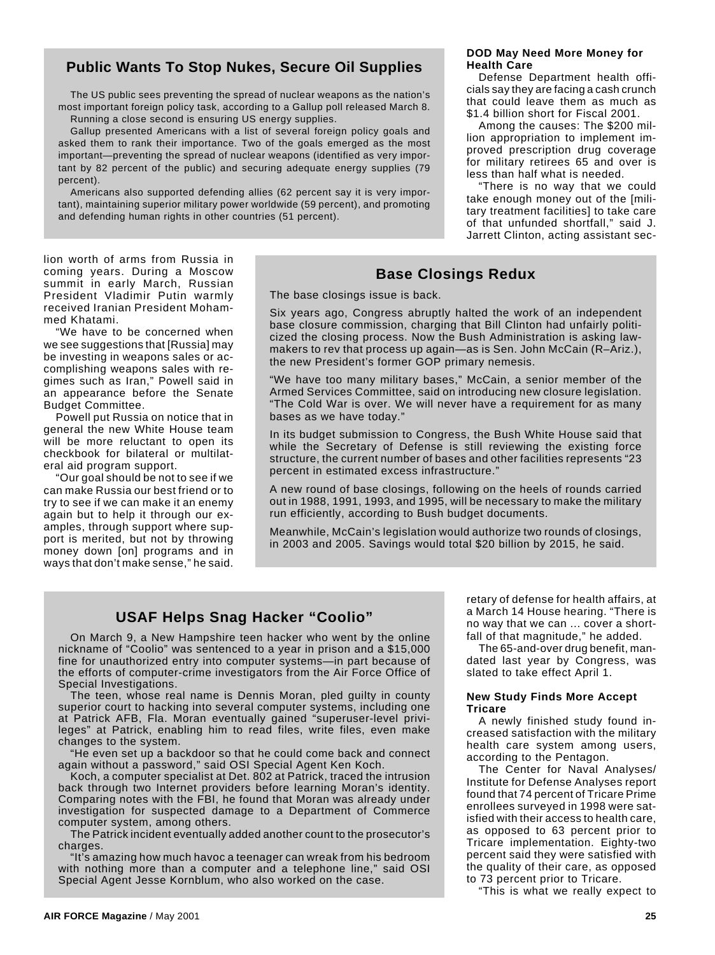## **Public Wants To Stop Nukes, Secure Oil Supplies**

The US public sees preventing the spread of nuclear weapons as the nation's most important foreign policy task, according to a Gallup poll released March 8.

Running a close second is ensuring US energy supplies.

Gallup presented Americans with a list of several foreign policy goals and asked them to rank their importance. Two of the goals emerged as the most important—preventing the spread of nuclear weapons (identified as very important by 82 percent of the public) and securing adequate energy supplies (79 percent).

Americans also supported defending allies (62 percent say it is very important), maintaining superior military power worldwide (59 percent), and promoting and defending human rights in other countries (51 percent).

#### **DOD May Need More Money for Health Care**

Defense Department health officials say they are facing a cash crunch that could leave them as much as \$1.4 billion short for Fiscal 2001.

Among the causes: The \$200 million appropriation to implement improved prescription drug coverage for military retirees 65 and over is less than half what is needed.

"There is no way that we could take enough money out of the [military treatment facilities] to take care of that unfunded shortfall," said J. Jarrett Clinton, acting assistant sec-

#### lion worth of arms from Russia in coming years. During a Moscow summit in early March, Russian President Vladimir Putin warmly received Iranian President Mohammed Khatami.

"We have to be concerned when we see suggestions that [Russia] may be investing in weapons sales or accomplishing weapons sales with regimes such as Iran," Powell said in an appearance before the Senate Budget Committee.

Powell put Russia on notice that in general the new White House team will be more reluctant to open its checkbook for bilateral or multilateral aid program support.

"Our goal should be not to see if we can make Russia our best friend or to try to see if we can make it an enemy again but to help it through our examples, through support where support is merited, but not by throwing money down [on] programs and in ways that don't make sense," he said.

## **Base Closings Redux**

The base closings issue is back.

Six years ago, Congress abruptly halted the work of an independent base closure commission, charging that Bill Clinton had unfairly politicized the closing process. Now the Bush Administration is asking lawmakers to rev that process up again—as is Sen. John McCain (R–Ariz.), the new President's former GOP primary nemesis.

"We have too many military bases," McCain, a senior member of the Armed Services Committee, said on introducing new closure legislation. "The Cold War is over. We will never have a requirement for as many bases as we have today."

In its budget submission to Congress, the Bush White House said that while the Secretary of Defense is still reviewing the existing force structure, the current number of bases and other facilities represents "23 percent in estimated excess infrastructure.'

A new round of base closings, following on the heels of rounds carried out in 1988, 1991, 1993, and 1995, will be necessary to make the military run efficiently, according to Bush budget documents.

Meanwhile, McCain's legislation would authorize two rounds of closings, in 2003 and 2005. Savings would total \$20 billion by 2015, he said.

## **USAF Helps Snag Hacker "Coolio"**

On March 9, a New Hampshire teen hacker who went by the online nickname of "Coolio" was sentenced to a year in prison and a \$15,000 fine for unauthorized entry into computer systems—in part because of the efforts of computer-crime investigators from the Air Force Office of Special Investigations.

The teen, whose real name is Dennis Moran, pled guilty in county superior court to hacking into several computer systems, including one at Patrick AFB, Fla. Moran eventually gained "superuser-level privileges" at Patrick, enabling him to read files, write files, even make changes to the system.

"He even set up a backdoor so that he could come back and connect again without a password," said OSI Special Agent Ken Koch.

Koch, a computer specialist at Det. 802 at Patrick, traced the intrusion back through two Internet providers before learning Moran's identity. Comparing notes with the FBI, he found that Moran was already under investigation for suspected damage to a Department of Commerce computer system, among others.

The Patrick incident eventually added another count to the prosecutor's charges.

"It's amazing how much havoc a teenager can wreak from his bedroom with nothing more than a computer and a telephone line," said OSI Special Agent Jesse Kornblum, who also worked on the case.

retary of defense for health affairs, at a March 14 House hearing. "There is no way that we can ... cover a shortfall of that magnitude," he added.

The 65-and-over drug benefit, mandated last year by Congress, was slated to take effect April 1.

#### **New Study Finds More Accept Tricare**

A newly finished study found increased satisfaction with the military health care system among users, according to the Pentagon.

The Center for Naval Analyses/ Institute for Defense Analyses report found that 74 percent of Tricare Prime enrollees surveyed in 1998 were satisfied with their access to health care, as opposed to 63 percent prior to Tricare implementation. Eighty-two percent said they were satisfied with the quality of their care, as opposed to 73 percent prior to Tricare.

"This is what we really expect to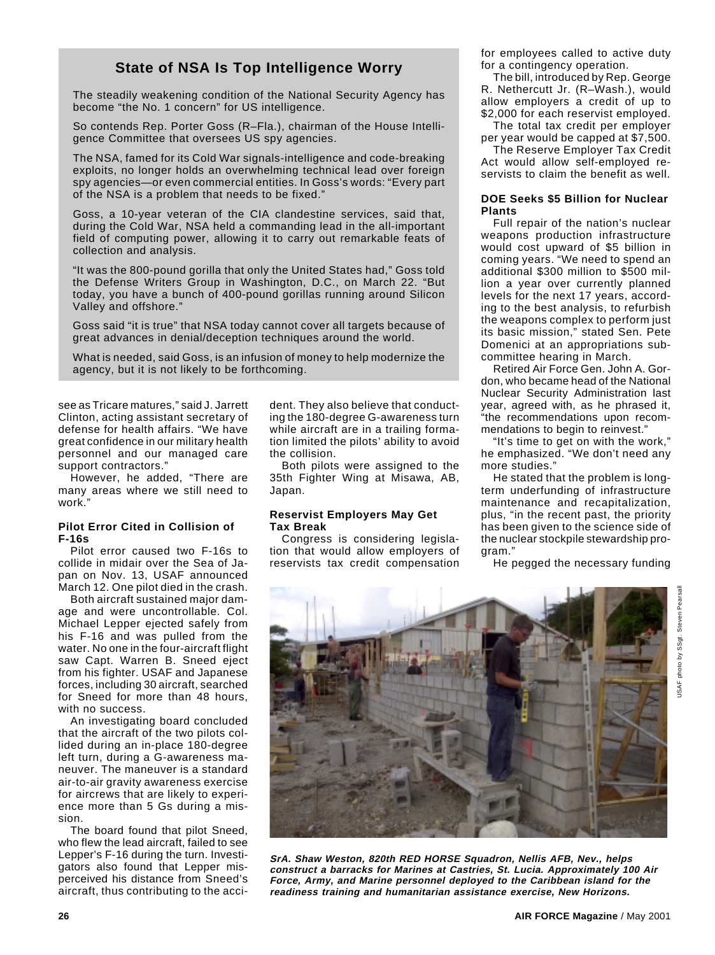## **State of NSA Is Top Intelligence Worry**

The steadily weakening condition of the National Security Agency has become "the No. 1 concern" for US intelligence.

So contends Rep. Porter Goss (R–Fla.), chairman of the House Intelligence Committee that oversees US spy agencies.

The NSA, famed for its Cold War signals-intelligence and code-breaking exploits, no longer holds an overwhelming technical lead over foreign spy agencies—or even commercial entities. In Goss's words: "Every part of the NSA is a problem that needs to be fixed."

Goss, a 10-year veteran of the CIA clandestine services, said that, during the Cold War, NSA held a commanding lead in the all-important field of computing power, allowing it to carry out remarkable feats of collection and analysis.

"It was the 800-pound gorilla that only the United States had," Goss told the Defense Writers Group in Washington, D.C., on March 22. "But today, you have a bunch of 400-pound gorillas running around Silicon Valley and offshore."

Goss said "it is true" that NSA today cannot cover all targets because of great advances in denial/deception techniques around the world.

What is needed, said Goss, is an infusion of money to help modernize the agency, but it is not likely to be forthcoming.

see as Tricare matures," said J. Jarrett Clinton, acting assistant secretary of defense for health affairs. "We have great confidence in our military health personnel and our managed care support contractors."

However, he added, "There are many areas where we still need to work."

## **Pilot Error Cited in Collision of F-16s**

Pilot error caused two F-16s to collide in midair over the Sea of Japan on Nov. 13, USAF announced March 12. One pilot died in the crash.

Both aircraft sustained major damage and were uncontrollable. Col. Michael Lepper ejected safely from his F-16 and was pulled from the water. No one in the four-aircraft flight saw Capt. Warren B. Sneed eject from his fighter. USAF and Japanese forces, including 30 aircraft, searched for Sneed for more than 48 hours, with no success.

An investigating board concluded that the aircraft of the two pilots collided during an in-place 180-degree left turn, during a G-awareness maneuver. The maneuver is a standard air-to-air gravity awareness exercise for aircrews that are likely to experience more than 5 Gs during a mission.

The board found that pilot Sneed, who flew the lead aircraft, failed to see Lepper's F-16 during the turn. Investigators also found that Lepper misperceived his distance from Sneed's aircraft, thus contributing to the accident. They also believe that conducting the 180-degree G-awareness turn while aircraft are in a trailing formation limited the pilots' ability to avoid the collision.

Both pilots were assigned to the 35th Fighter Wing at Misawa, AB, Japan.

## **Reservist Employers May Get Tax Break**

Congress is considering legislation that would allow employers of reservists tax credit compensation for employees called to active duty for a contingency operation.

The bill, introduced by Rep. George R. Nethercutt Jr. (R–Wash.), would allow employers a credit of up to \$2,000 for each reservist employed.

The total tax credit per employer per year would be capped at \$7,500.

The Reserve Employer Tax Credit Act would allow self-employed reservists to claim the benefit as well.

## **DOE Seeks \$5 Billion for Nuclear Plants**

Full repair of the nation's nuclear weapons production infrastructure would cost upward of \$5 billion in coming years. "We need to spend an additional \$300 million to \$500 million a year over currently planned levels for the next 17 years, according to the best analysis, to refurbish the weapons complex to perform just its basic mission," stated Sen. Pete Domenici at an appropriations subcommittee hearing in March.

Retired Air Force Gen. John A. Gordon, who became head of the National Nuclear Security Administration last year, agreed with, as he phrased it, "the recommendations upon recommendations to begin to reinvest."

"It's time to get on with the work," he emphasized. "We don't need any more studies."

He stated that the problem is longterm underfunding of infrastructure maintenance and recapitalization, plus, "in the recent past, the priority has been given to the science side of the nuclear stockpile stewardship program."

He pegged the necessary funding



**SrA. Shaw Weston, 820th RED HORSE Squadron, Nellis AFB, Nev., helps construct a barracks for Marines at Castries, St. Lucia. Approximately 100 Air Force, Army, and Marine personnel deployed to the Caribbean island for the readiness training and humanitarian assistance exercise, New Horizons.**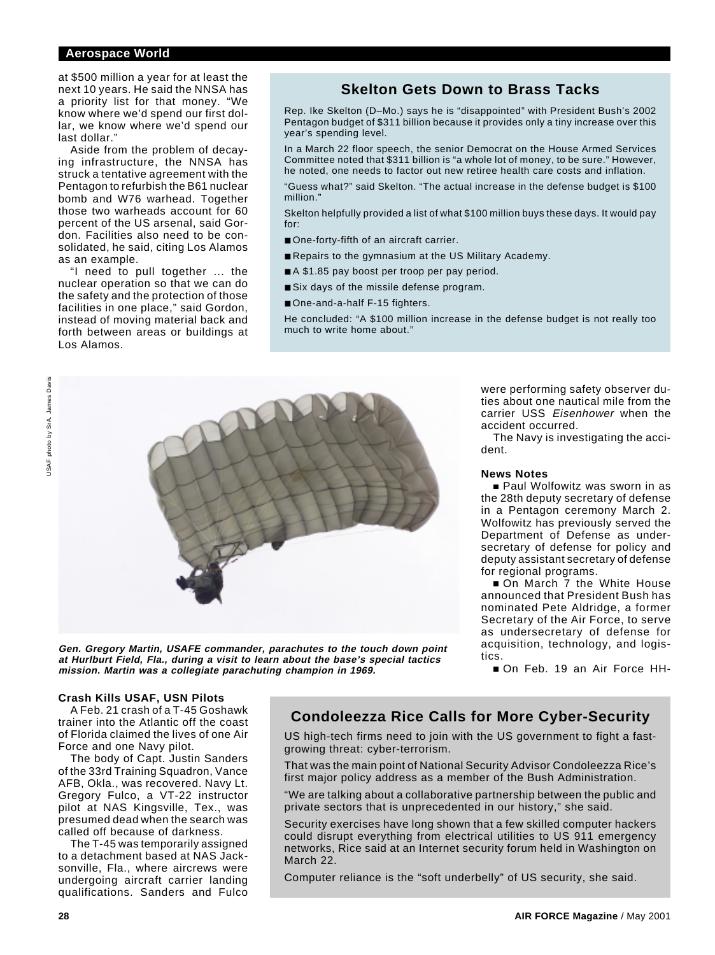at \$500 million a year for at least the next 10 years. He said the NNSA has a priority list for that money. "We know where we'd spend our first dollar, we know where we'd spend our last dollar."

Aside from the problem of decaying infrastructure, the NNSA has struck a tentative agreement with the Pentagon to refurbish the B61 nuclear bomb and W76 warhead. Together those two warheads account for 60 percent of the US arsenal, said Gordon. Facilities also need to be consolidated, he said, citing Los Alamos as an example.

"I need to pull together ... the nuclear operation so that we can do the safety and the protection of those facilities in one place," said Gordon, instead of moving material back and forth between areas or buildings at Los Alamos.

## **Skelton Gets Down to Brass Tacks**

Rep. Ike Skelton (D–Mo.) says he is "disappointed" with President Bush's 2002 Pentagon budget of \$311 billion because it provides only a tiny increase over this year's spending level.

In a March 22 floor speech, the senior Democrat on the House Armed Services Committee noted that \$311 billion is "a whole lot of money, to be sure." However, he noted, one needs to factor out new retiree health care costs and inflation.

"Guess what?" said Skelton. "The actual increase in the defense budget is \$100 million."

Skelton helpfully provided a list of what \$100 million buys these days. It would pay for:

- One-forty-fifth of an aircraft carrier.
- Repairs to the gymnasium at the US Military Academy.
- A \$1.85 pay boost per troop per pay period.
- Six days of the missile defense program.
- One-and-a-half F-15 fighters.

He concluded: "A \$100 million increase in the defense budget is not really too much to write home about."



**Gen. Gregory Martin, USAFE commander, parachutes to the touch down point at Hurlburt Field, Fla., during a visit to learn about the base's special tactics mission. Martin was a collegiate parachuting champion in 1969.**

were performing safety observer duties about one nautical mile from the carrier USS Eisenhower when the accident occurred.

The Navy is investigating the accident.

#### **News Notes**

■ Paul Wolfowitz was sworn in as the 28th deputy secretary of defense in a Pentagon ceremony March 2. Wolfowitz has previously served the Department of Defense as undersecretary of defense for policy and deputy assistant secretary of defense for regional programs.

On March 7 the White House announced that President Bush has nominated Pete Aldridge, a former Secretary of the Air Force, to serve as undersecretary of defense for acquisition, technology, and logistics.

On Feb. 19 an Air Force HH-

#### **Crash Kills USAF, USN Pilots**

A Feb. 21 crash of a T-45 Goshawk trainer into the Atlantic off the coast of Florida claimed the lives of one Air Force and one Navy pilot.

The body of Capt. Justin Sanders of the 33rd Training Squadron, Vance AFB, Okla., was recovered. Navy Lt. Gregory Fulco, a VT-22 instructor pilot at NAS Kingsville, Tex., was presumed dead when the search was called off because of darkness.

The T-45 was temporarily assigned to a detachment based at NAS Jacksonville, Fla., where aircrews were undergoing aircraft carrier landing qualifications. Sanders and Fulco

## **Condoleezza Rice Calls for More Cyber-Security**

US high-tech firms need to join with the US government to fight a fastgrowing threat: cyber-terrorism.

That was the main point of National Security Advisor Condoleezza Rice's first major policy address as a member of the Bush Administration.

"We are talking about a collaborative partnership between the public and private sectors that is unprecedented in our history," she said.

Security exercises have long shown that a few skilled computer hackers could disrupt everything from electrical utilities to US 911 emergency networks, Rice said at an Internet security forum held in Washington on March 22.

Computer reliance is the "soft underbelly" of US security, she said.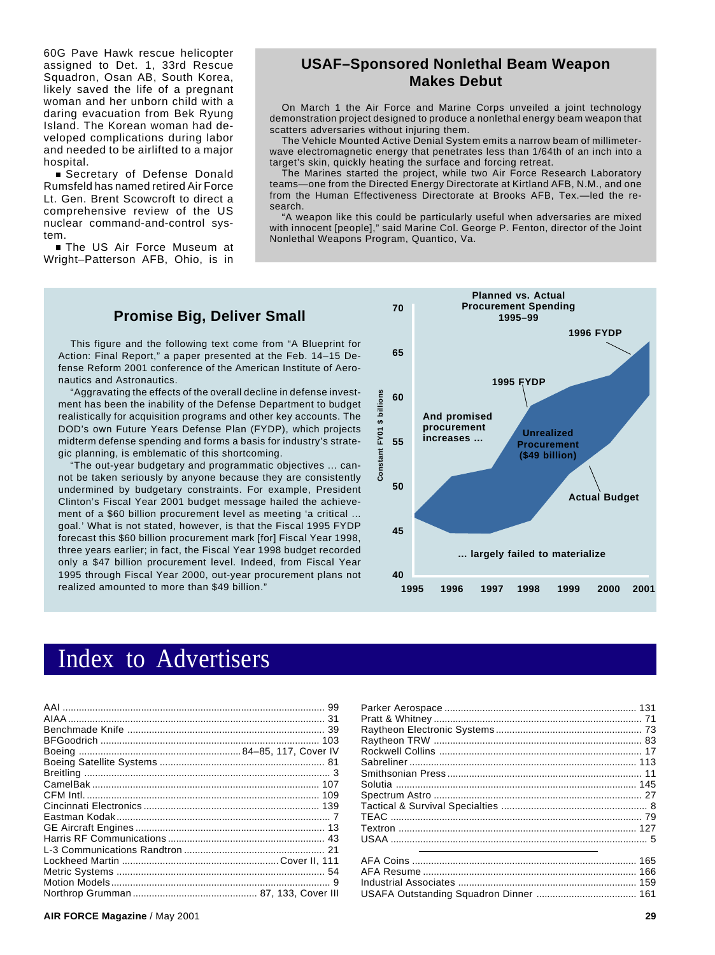60G Pave Hawk rescue helicopter assigned to Det. 1, 33rd Rescue Squadron, Osan AB, South Korea, likely saved the life of a pregnant woman and her unborn child with a daring evacuation from Bek Ryung Island. The Korean woman had developed complications during labor and needed to be airlifted to a major hospital.

Secretary of Defense Donald Rumsfeld has named retired Air Force Lt. Gen. Brent Scowcroft to direct a comprehensive review of the US nuclear command-and-control system.

The US Air Force Museum at Wright–Patterson AFB, Ohio, is in

## **USAF–Sponsored Nonlethal Beam Weapon Makes Debut**

On March 1 the Air Force and Marine Corps unveiled a joint technology demonstration project designed to produce a nonlethal energy beam weapon that scatters adversaries without injuring them.

The Vehicle Mounted Active Denial System emits a narrow beam of millimeterwave electromagnetic energy that penetrates less than 1/64th of an inch into a target's skin, quickly heating the surface and forcing retreat.

The Marines started the project, while two Air Force Research Laboratory teams—one from the Directed Energy Directorate at Kirtland AFB, N.M., and one from the Human Effectiveness Directorate at Brooks AFB, Tex.—led the research.

"A weapon like this could be particularly useful when adversaries are mixed with innocent [people]," said Marine Col. George P. Fenton, director of the Joint Nonlethal Weapons Program, Quantico, Va.

## **Promise Big, Deliver Small**

This figure and the following text come from "A Blueprint for Action: Final Report," a paper presented at the Feb. 14–15 Defense Reform 2001 conference of the American Institute of Aeronautics and Astronautics.

"Aggravating the effects of the overall decline in defense investment has been the inability of the Defense Department to budget realistically for acquisition programs and other key accounts. The DOD's own Future Years Defense Plan (FYDP), which projects midterm defense spending and forms a basis for industry's strategic planning, is emblematic of this shortcoming.

"The out-year budgetary and programmatic objectives ... cannot be taken seriously by anyone because they are consistently undermined by budgetary constraints. For example, President Clinton's Fiscal Year 2001 budget message hailed the achievement of a \$60 billion procurement level as meeting 'a critical ... goal.' What is not stated, however, is that the Fiscal 1995 FYDP forecast this \$60 billion procurement mark [for] Fiscal Year 1998, three years earlier; in fact, the Fiscal Year 1998 budget recorded only a \$47 billion procurement level. Indeed, from Fiscal Year 1995 through Fiscal Year 2000, out-year procurement plans not realized amounted to more than \$49 billion."



## Index to Advertisers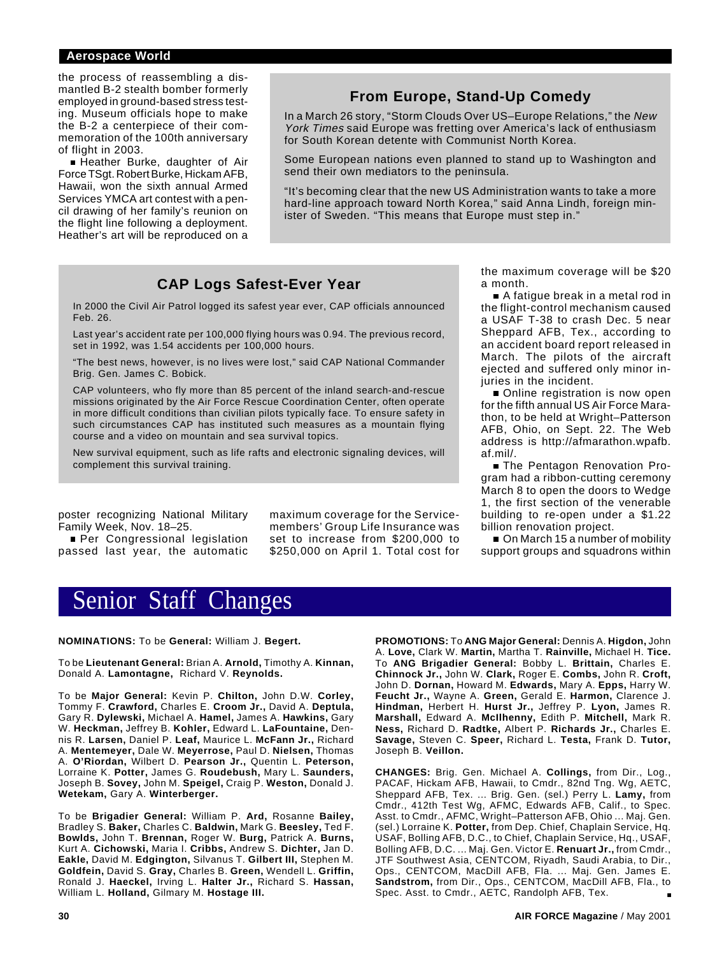the process of reassembling a dismantled B-2 stealth bomber formerly employed in ground-based stress testing. Museum officials hope to make the B-2 a centerpiece of their commemoration of the 100th anniversary of flight in 2003.

■ Heather Burke, daughter of Air Force TSgt. Robert Burke, Hickam AFB, Hawaii, won the sixth annual Armed Services YMCA art contest with a pencil drawing of her family's reunion on the flight line following a deployment. Heather's art will be reproduced on a

## **From Europe, Stand-Up Comedy**

In a March 26 story, "Storm Clouds Over US–Europe Relations," the New York Times said Europe was fretting over America's lack of enthusiasm for South Korean detente with Communist North Korea.

Some European nations even planned to stand up to Washington and send their own mediators to the peninsula.

"It's becoming clear that the new US Administration wants to take a more hard-line approach toward North Korea," said Anna Lindh, foreign minister of Sweden. "This means that Europe must step in."

## **CAP Logs Safest-Ever Year**

In 2000 the Civil Air Patrol logged its safest year ever, CAP officials announced Feb. 26.

Last year's accident rate per 100,000 flying hours was 0.94. The previous record, set in 1992, was 1.54 accidents per 100,000 hours.

"The best news, however, is no lives were lost," said CAP National Commander Brig. Gen. James C. Bobick.

CAP volunteers, who fly more than 85 percent of the inland search-and-rescue missions originated by the Air Force Rescue Coordination Center, often operate in more difficult conditions than civilian pilots typically face. To ensure safety in such circumstances CAP has instituted such measures as a mountain flying course and a video on mountain and sea survival topics.

New survival equipment, such as life rafts and electronic signaling devices, will complement this survival training.

poster recognizing National Military Family Week, Nov. 18–25.

**Per Congressional legislation** passed last year, the automatic maximum coverage for the Servicemembers' Group Life Insurance was set to increase from \$200,000 to \$250,000 on April 1. Total cost for the maximum coverage will be \$20 a month.

■ A fatigue break in a metal rod in the flight-control mechanism caused a USAF T-38 to crash Dec. 5 near Sheppard AFB, Tex., according to an accident board report released in March. The pilots of the aircraft ejected and suffered only minor injuries in the incident.

Online registration is now open for the fifth annual US Air Force Marathon, to be held at Wright–Patterson AFB, Ohio, on Sept. 22. The Web address is http://afmarathon.wpafb. af.mil/.

■ The Pentagon Renovation Program had a ribbon-cutting ceremony March 8 to open the doors to Wedge 1, the first section of the venerable building to re-open under a \$1.22 billion renovation project.

On March 15 a number of mobility support groups and squadrons within

## Senior Staff Changes

#### **NOMINATIONS:** To be **General:** William J. **Begert.**

To be **Lieutenant General:** Brian A. **Arnold,** Timothy A. **Kinnan,** Donald A. **Lamontagne,** Richard V. **Reynolds.**

To be **Major General:** Kevin P. **Chilton,** John D.W. **Corley,** Tommy F. **Crawford,** Charles E. **Croom Jr.,** David A. **Deptula,** Gary R. **Dylewski,** Michael A. **Hamel,** James A. **Hawkins,** Gary W. **Heckman,** Jeffrey B. **Kohler,** Edward L. **LaFountaine,** Dennis R. **Larsen,** Daniel P. **Leaf,** Maurice L. **McFann Jr.,** Richard A. **Mentemeyer,** Dale W. **Meyerrose,** Paul D. **Nielsen,** Thomas A. **O'Riordan,** Wilbert D. **Pearson Jr.,** Quentin L. **Peterson,** Lorraine K. **Potter,** James G. **Roudebush,** Mary L. **Saunders,** Joseph B. **Sovey,** John M. **Speigel,** Craig P. **Weston,** Donald J. **Wetekam,** Gary A. **Winterberger.**

To be **Brigadier General:** William P. **Ard,** Rosanne **Bailey,** Bradley S. **Baker,** Charles C. **Baldwin,** Mark G. **Beesley,** Ted F. **Bowlds,** John T. **Brennan,** Roger W. **Burg,** Patrick A. **Burns,** Kurt A. **Cichowski,** Maria I. **Cribbs,** Andrew S. **Dichter,** Jan D. **Eakle,** David M. **Edgington,** Silvanus T. **Gilbert III,** Stephen M. **Goldfein,** David S. **Gray,** Charles B. **Green,** Wendell L. **Griffin,** Ronald J. **Haeckel,** Irving L. **Halter Jr.,** Richard S. **Hassan,** William L. **Holland,** Gilmary M. **Hostage III.**

**PROMOTIONS:** To **ANG Major General:** Dennis A. **Higdon,** John A. **Love,** Clark W. **Martin,** Martha T. **Rainville,** Michael H. **Tice.** To **ANG Brigadier General:** Bobby L. **Brittain,** Charles E. **Chinnock Jr.,** John W. **Clark,** Roger E. **Combs,** John R. **Croft,** John D. **Dornan,** Howard M. **Edwards,** Mary A. **Epps,** Harry W. **Feucht Jr.,** Wayne A. **Green,** Gerald E. **Harmon,** Clarence J. **Hindman,** Herbert H. **Hurst Jr.,** Jeffrey P. **Lyon,** James R. **Marshall,** Edward A. **McIlhenny,** Edith P. **Mitchell,** Mark R. **Ness,** Richard D. **Radtke,** Albert P. **Richards Jr.,** Charles E. **Savage,** Steven C. **Speer,** Richard L. **Testa,** Frank D. **Tutor,** Joseph B. **Veillon.**

**CHANGES:** Brig. Gen. Michael A. **Collings,** from Dir., Log., PACAF, Hickam AFB, Hawaii, to Cmdr., 82nd Tng. Wg, AETC, Sheppard AFB, Tex. ... Brig. Gen. (sel.) Perry L. **Lamy,** from Cmdr., 412th Test Wg, AFMC, Edwards AFB, Calif., to Spec. Asst. to Cmdr., AFMC, Wright–Patterson AFB, Ohio ... Maj. Gen. (sel.) Lorraine K. **Potter,** from Dep. Chief, Chaplain Service, Hq. USAF, Bolling AFB, D.C., to Chief, Chaplain Service, Hq., USAF, Bolling AFB, D.C. ... Maj. Gen. Victor E. **Renuart Jr.,** from Cmdr., JTF Southwest Asia, CENTCOM, Riyadh, Saudi Arabia, to Dir., Ops., CENTCOM, MacDill AFB, Fla. ... Maj. Gen. James E. **Sandstrom,** from Dir., Ops., CENTCOM, MacDill AFB, Fla., to Spec. Asst. to Cmdr., AETC, Randolph AFB, Tex.